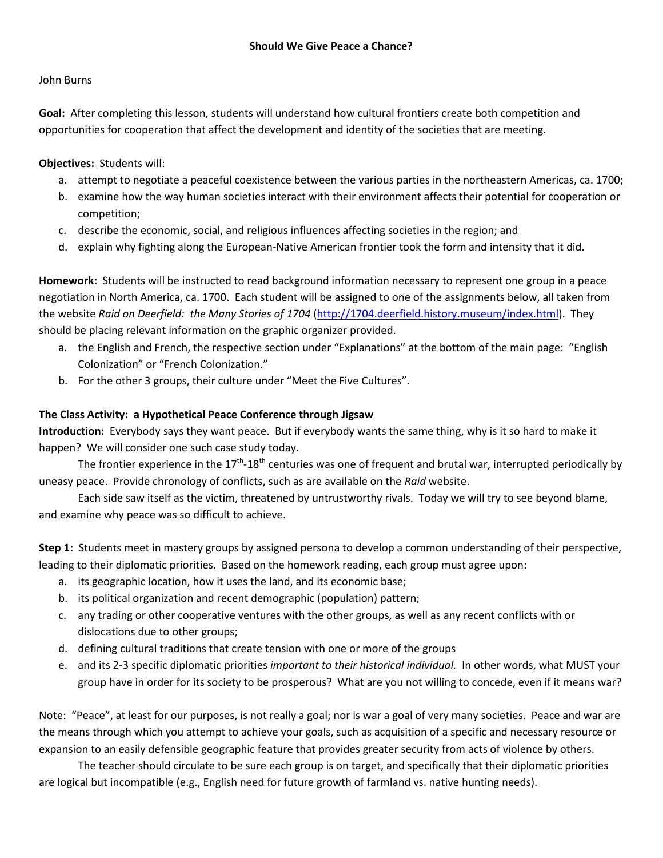### John Burns

**Goal:** After completing this lesson, students will understand how cultural frontiers create both competition and opportunities for cooperation that affect the development and identity of the societies that are meeting.

# **Objectives:** Students will:

- a. attempt to negotiate a peaceful coexistence between the various parties in the northeastern Americas, ca. 1700;
- b. examine how the way human societies interact with their environment affects their potential for cooperation or competition;
- c. describe the economic, social, and religious influences affecting societies in the region; and
- d. explain why fighting along the European-Native American frontier took the form and intensity that it did.

**Homework:** Students will be instructed to read background information necessary to represent one group in a peace negotiation in North America, ca. 1700. Each student will be assigned to one of the assignments below, all taken from the website *Raid on Deerfield: the Many Stories of 1704* [\(http://1704.deerfield.history.museum/index.html\)](http://1704.deerfield.history.museum/index.html). They should be placing relevant information on the graphic organizer provided.

- a. the English and French, the respective section under "Explanations" at the bottom of the main page: "English Colonization" or "French Colonization."
- b. For the other 3 groups, their culture under "Meet the Five Cultures".

### **The Class Activity: a Hypothetical Peace Conference through Jigsaw**

**Introduction:** Everybody says they want peace. But if everybody wants the same thing, why is it so hard to make it happen? We will consider one such case study today.

The frontier experience in the  $17<sup>th</sup> - 18<sup>th</sup>$  centuries was one of frequent and brutal war, interrupted periodically by uneasy peace. Provide chronology of conflicts, such as are available on the *Raid* website.

Each side saw itself as the victim, threatened by untrustworthy rivals. Today we will try to see beyond blame, and examine why peace was so difficult to achieve.

**Step 1:** Students meet in mastery groups by assigned persona to develop a common understanding of their perspective, leading to their diplomatic priorities. Based on the homework reading, each group must agree upon:

- a. its geographic location, how it uses the land, and its economic base;
- b. its political organization and recent demographic (population) pattern;
- c. any trading or other cooperative ventures with the other groups, as well as any recent conflicts with or dislocations due to other groups;
- d. defining cultural traditions that create tension with one or more of the groups
- e. and its 2-3 specific diplomatic priorities *important to their historical individual.* In other words, what MUST your group have in order for its society to be prosperous? What are you not willing to concede, even if it means war?

Note: "Peace", at least for our purposes, is not really a goal; nor is war a goal of very many societies. Peace and war are the means through which you attempt to achieve your goals, such as acquisition of a specific and necessary resource or expansion to an easily defensible geographic feature that provides greater security from acts of violence by others.

The teacher should circulate to be sure each group is on target, and specifically that their diplomatic priorities are logical but incompatible (e.g., English need for future growth of farmland vs. native hunting needs).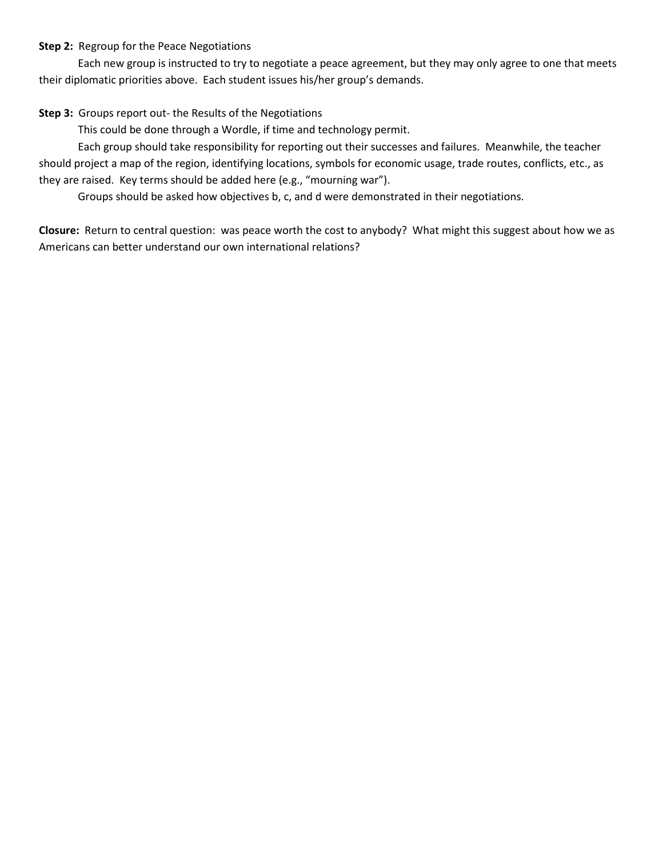### **Step 2:** Regroup for the Peace Negotiations

Each new group is instructed to try to negotiate a peace agreement, but they may only agree to one that meets their diplomatic priorities above. Each student issues his/her group's demands.

# **Step 3:** Groups report out- the Results of the Negotiations

This could be done through a Wordle, if time and technology permit.

Each group should take responsibility for reporting out their successes and failures. Meanwhile, the teacher should project a map of the region, identifying locations, symbols for economic usage, trade routes, conflicts, etc., as they are raised. Key terms should be added here (e.g., "mourning war").

Groups should be asked how objectives b, c, and d were demonstrated in their negotiations.

**Closure:** Return to central question: was peace worth the cost to anybody? What might this suggest about how we as Americans can better understand our own international relations?